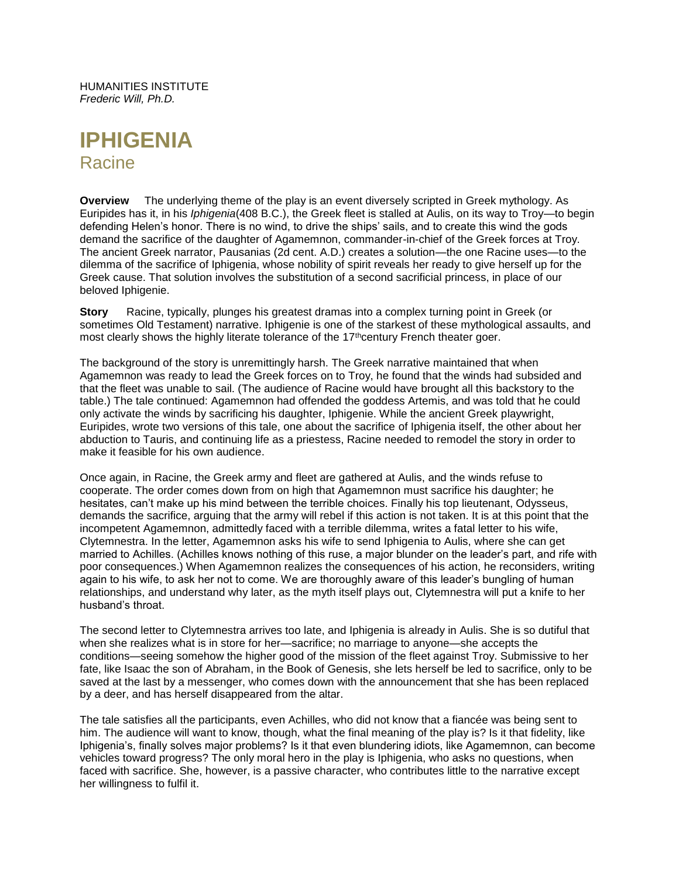HUMANITIES INSTITUTE *Frederic Will, Ph.D.*

# **IPHIGENIA Racine**

**Overview** The underlying theme of the play is an event diversely scripted in Greek mythology. As Euripides has it, in his *Iphigenia*(408 B.C.), the Greek fleet is stalled at Aulis, on its way to Troy—to begin defending Helen's honor. There is no wind, to drive the ships' sails, and to create this wind the gods demand the sacrifice of the daughter of Agamemnon, commander-in-chief of the Greek forces at Troy. The ancient Greek narrator, Pausanias (2d cent. A.D.) creates a solution—the one Racine uses—to the dilemma of the sacrifice of Iphigenia, whose nobility of spirit reveals her ready to give herself up for the Greek cause. That solution involves the substitution of a second sacrificial princess, in place of our beloved Iphigenie.

**Story** Racine, typically, plunges his greatest dramas into a complex turning point in Greek (or sometimes Old Testament) narrative. Iphigenie is one of the starkest of these mythological assaults, and most clearly shows the highly literate tolerance of the  $17<sup>th</sup>$ century French theater goer.

The background of the story is unremittingly harsh. The Greek narrative maintained that when Agamemnon was ready to lead the Greek forces on to Troy, he found that the winds had subsided and that the fleet was unable to sail. (The audience of Racine would have brought all this backstory to the table.) The tale continued: Agamemnon had offended the goddess Artemis, and was told that he could only activate the winds by sacrificing his daughter, Iphigenie. While the ancient Greek playwright, Euripides, wrote two versions of this tale, one about the sacrifice of Iphigenia itself, the other about her abduction to Tauris, and continuing life as a priestess, Racine needed to remodel the story in order to make it feasible for his own audience.

Once again, in Racine, the Greek army and fleet are gathered at Aulis, and the winds refuse to cooperate. The order comes down from on high that Agamemnon must sacrifice his daughter; he hesitates, can't make up his mind between the terrible choices. Finally his top lieutenant, Odysseus, demands the sacrifice, arguing that the army will rebel if this action is not taken. It is at this point that the incompetent Agamemnon, admittedly faced with a terrible dilemma, writes a fatal letter to his wife, Clytemnestra. In the letter, Agamemnon asks his wife to send Iphigenia to Aulis, where she can get married to Achilles. (Achilles knows nothing of this ruse, a major blunder on the leader's part, and rife with poor consequences.) When Agamemnon realizes the consequences of his action, he reconsiders, writing again to his wife, to ask her not to come. We are thoroughly aware of this leader's bungling of human relationships, and understand why later, as the myth itself plays out, Clytemnestra will put a knife to her husband's throat.

The second letter to Clytemnestra arrives too late, and Iphigenia is already in Aulis. She is so dutiful that when she realizes what is in store for her—sacrifice; no marriage to anyone—she accepts the conditions—seeing somehow the higher good of the mission of the fleet against Troy. Submissive to her fate, like Isaac the son of Abraham, in the Book of Genesis, she lets herself be led to sacrifice, only to be saved at the last by a messenger, who comes down with the announcement that she has been replaced by a deer, and has herself disappeared from the altar.

The tale satisfies all the participants, even Achilles, who did not know that a fiancée was being sent to him. The audience will want to know, though, what the final meaning of the play is? Is it that fidelity, like Iphigenia's, finally solves major problems? Is it that even blundering idiots, like Agamemnon, can become vehicles toward progress? The only moral hero in the play is Iphigenia, who asks no questions, when faced with sacrifice. She, however, is a passive character, who contributes little to the narrative except her willingness to fulfil it.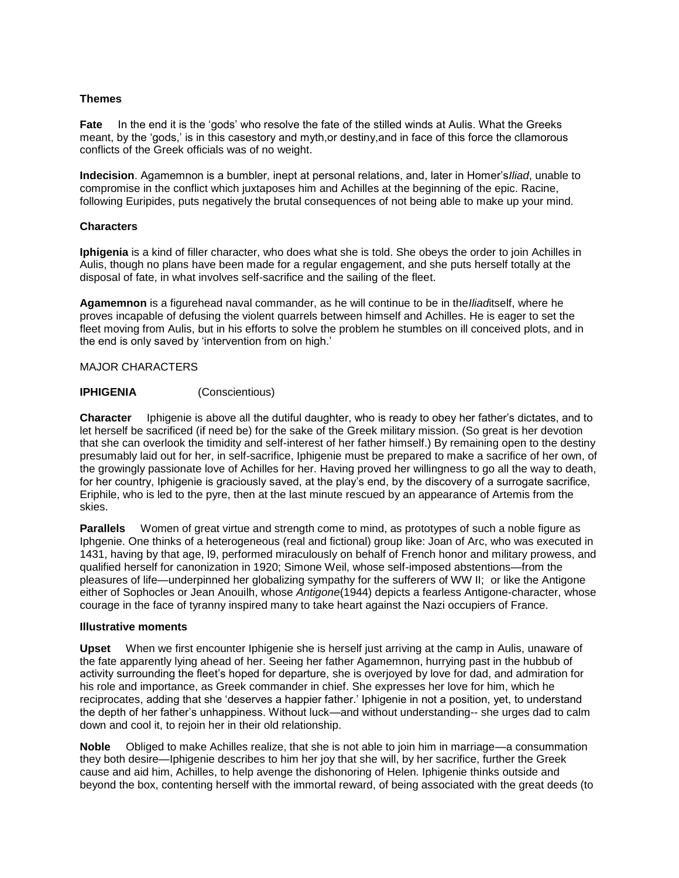#### **Themes**

**Fate** In the end it is the 'gods' who resolve the fate of the stilled winds at Aulis. What the Greeks meant, by the 'gods,' is in this casestory and myth,or destiny,and in face of this force the cllamorous conflicts of the Greek officials was of no weight.

**Indecision**. Agamemnon is a bumbler, inept at personal relations, and, later in Homer's*Iliad*, unable to compromise in the conflict which juxtaposes him and Achilles at the beginning of the epic. Racine, following Euripides, puts negatively the brutal consequences of not being able to make up your mind.

# **Characters**

**Iphigenia** is a kind of filler character, who does what she is told. She obeys the order to join Achilles in Aulis, though no plans have been made for a regular engagement, and she puts herself totally at the disposal of fate, in what involves self-sacrifice and the sailing of the fleet.

**Agamemnon** is a figurehead naval commander, as he will continue to be in the*Iliad*itself, where he proves incapable of defusing the violent quarrels between himself and Achilles. He is eager to set the fleet moving from Aulis, but in his efforts to solve the problem he stumbles on ill conceived plots, and in the end is only saved by 'intervention from on high.'

# MAJOR CHARACTERS

# **IPHIGENIA** (Conscientious)

**Character** Iphigenie is above all the dutiful daughter, who is ready to obey her father's dictates, and to let herself be sacrificed (if need be) for the sake of the Greek military mission. (So great is her devotion that she can overlook the timidity and self-interest of her father himself.) By remaining open to the destiny presumably laid out for her, in self-sacrifice, Iphigenie must be prepared to make a sacrifice of her own, of the growingly passionate love of Achilles for her. Having proved her willingness to go all the way to death, for her country, Iphigenie is graciously saved, at the play's end, by the discovery of a surrogate sacrifice, Eriphile, who is led to the pyre, then at the last minute rescued by an appearance of Artemis from the skies.

**Parallels** Women of great virtue and strength come to mind, as prototypes of such a noble figure as Iphgenie. One thinks of a heterogeneous (real and fictional) group like: Joan of Arc, who was executed in 1431, having by that age, l9, performed miraculously on behalf of French honor and military prowess, and qualified herself for canonization in 1920; Simone Weil, whose self-imposed abstentions—from the pleasures of life—underpinned her globalizing sympathy for the sufferers of WW II; or like the Antigone either of Sophocles or Jean Anouilh, whose *Antigone*(1944) depicts a fearless Antigone-character, whose courage in the face of tyranny inspired many to take heart against the Nazi occupiers of France.

#### **Illustrative moments**

**Upset** When we first encounter Iphigenie she is herself just arriving at the camp in Aulis, unaware of the fate apparently lying ahead of her. Seeing her father Agamemnon, hurrying past in the hubbub of activity surrounding the fleet's hoped for departure, she is overjoyed by love for dad, and admiration for his role and importance, as Greek commander in chief. She expresses her love for him, which he reciprocates, adding that she 'deserves a happier father.' Iphigenie in not a position, yet, to understand the depth of her father's unhappiness. Without luck—and without understanding-- she urges dad to calm down and cool it, to rejoin her in their old relationship.

**Noble** Obliged to make Achilles realize, that she is not able to join him in marriage—a consummation they both desire—Iphigenie describes to him her joy that she will, by her sacrifice, further the Greek cause and aid him, Achilles, to help avenge the dishonoring of Helen. Iphigenie thinks outside and beyond the box, contenting herself with the immortal reward, of being associated with the great deeds (to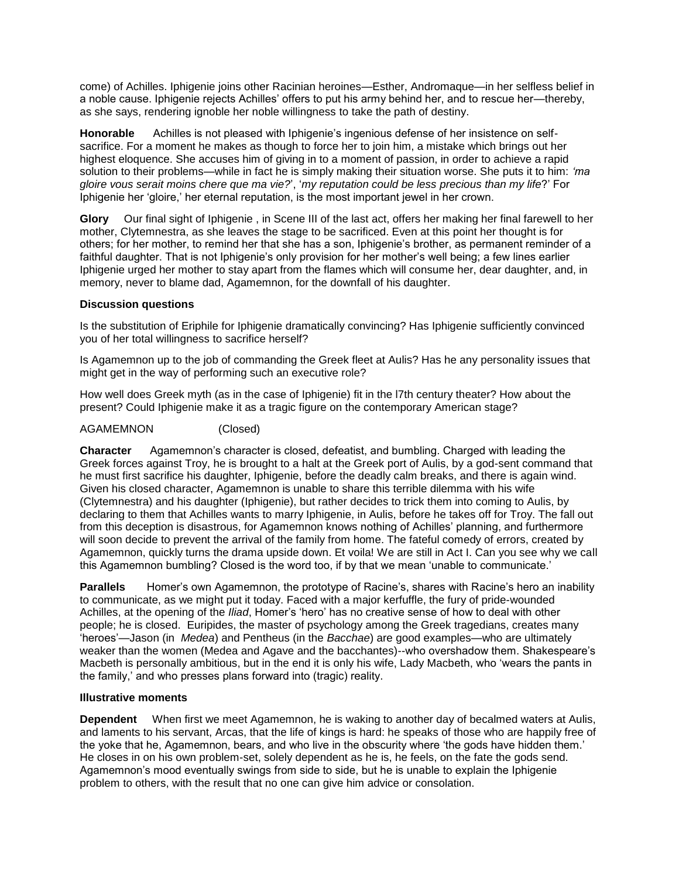come) of Achilles. Iphigenie joins other Racinian heroines—Esther, Andromaque—in her selfless belief in a noble cause. Iphigenie rejects Achilles' offers to put his army behind her, and to rescue her—thereby, as she says, rendering ignoble her noble willingness to take the path of destiny.

**Honorable** Achilles is not pleased with Iphigenie's ingenious defense of her insistence on selfsacrifice. For a moment he makes as though to force her to join him, a mistake which brings out her highest eloquence. She accuses him of giving in to a moment of passion, in order to achieve a rapid solution to their problems—while in fact he is simply making their situation worse. She puts it to him: *'ma gloire vous serait moins chere que ma vie?*', '*my reputation could be less precious than my life*?' For Iphigenie her 'gloire,' her eternal reputation, is the most important jewel in her crown.

**Glory** Our final sight of Iphigenie , in Scene III of the last act, offers her making her final farewell to her mother, Clytemnestra, as she leaves the stage to be sacrificed. Even at this point her thought is for others; for her mother, to remind her that she has a son, Iphigenie's brother, as permanent reminder of a faithful daughter. That is not Iphigenie's only provision for her mother's well being; a few lines earlier Iphigenie urged her mother to stay apart from the flames which will consume her, dear daughter, and, in memory, never to blame dad, Agamemnon, for the downfall of his daughter.

#### **Discussion questions**

Is the substitution of Eriphile for Iphigenie dramatically convincing? Has Iphigenie sufficiently convinced you of her total willingness to sacrifice herself?

Is Agamemnon up to the job of commanding the Greek fleet at Aulis? Has he any personality issues that might get in the way of performing such an executive role?

How well does Greek myth (as in the case of Iphigenie) fit in the l7th century theater? How about the present? Could Iphigenie make it as a tragic figure on the contemporary American stage?

# AGAMEMNON (Closed)

**Character** Agamemnon's character is closed, defeatist, and bumbling. Charged with leading the Greek forces against Troy, he is brought to a halt at the Greek port of Aulis, by a god-sent command that he must first sacrifice his daughter, Iphigenie, before the deadly calm breaks, and there is again wind. Given his closed character, Agamemnon is unable to share this terrible dilemma with his wife (Clytemnestra) and his daughter (Iphigenie), but rather decides to trick them into coming to Aulis, by declaring to them that Achilles wants to marry Iphigenie, in Aulis, before he takes off for Troy. The fall out from this deception is disastrous, for Agamemnon knows nothing of Achilles' planning, and furthermore will soon decide to prevent the arrival of the family from home. The fateful comedy of errors, created by Agamemnon, quickly turns the drama upside down. Et voila! We are still in Act I. Can you see why we call this Agamemnon bumbling? Closed is the word too, if by that we mean 'unable to communicate.'

**Parallels** Homer's own Agamemnon, the prototype of Racine's, shares with Racine's hero an inability to communicate, as we might put it today. Faced with a major kerfuffle, the fury of pride-wounded Achilles, at the opening of the *Iliad*, Homer's 'hero' has no creative sense of how to deal with other people; he is closed. Euripides, the master of psychology among the Greek tragedians, creates many 'heroes'—Jason (in *Medea*) and Pentheus (in the *Bacchae*) are good examples—who are ultimately weaker than the women (Medea and Agave and the bacchantes)--who overshadow them. Shakespeare's Macbeth is personally ambitious, but in the end it is only his wife, Lady Macbeth, who 'wears the pants in the family,' and who presses plans forward into (tragic) reality.

#### **Illustrative moments**

**Dependent** When first we meet Agamemnon, he is waking to another day of becalmed waters at Aulis, and laments to his servant, Arcas, that the life of kings is hard: he speaks of those who are happily free of the yoke that he, Agamemnon, bears, and who live in the obscurity where 'the gods have hidden them.' He closes in on his own problem-set, solely dependent as he is, he feels, on the fate the gods send. Agamemnon's mood eventually swings from side to side, but he is unable to explain the Iphigenie problem to others, with the result that no one can give him advice or consolation.